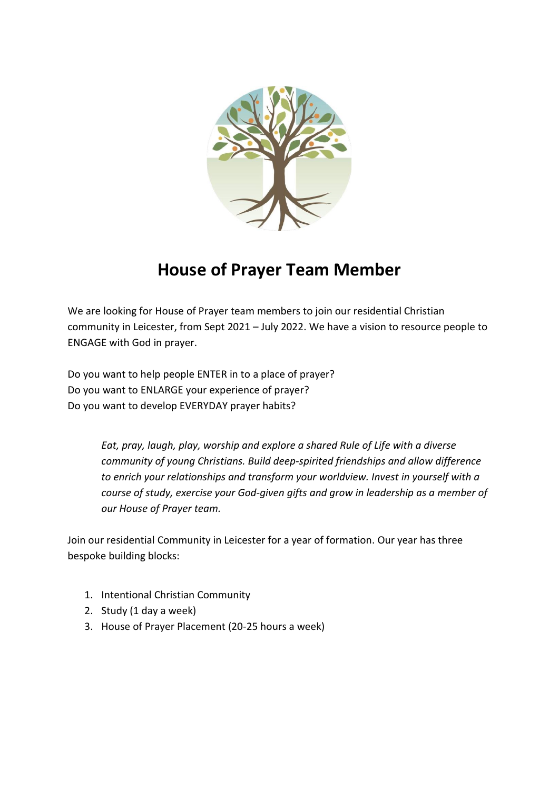

# **House of Prayer Team Member**

We are looking for House of Prayer team members to join our residential Christian community in Leicester, from Sept 2021 – July 2022. We have a vision to resource people to ENGAGE with God in prayer.

Do you want to help people ENTER in to a place of prayer? Do you want to ENLARGE your experience of prayer? Do you want to develop EVERYDAY prayer habits?

> *Eat, pray, laugh, play, worship and explore a shared Rule of Life with a diverse community of young Christians. Build deep-spirited friendships and allow difference to enrich your relationships and transform your worldview. Invest in yourself with a course of study, exercise your God-given gifts and grow in leadership as a member of our House of Prayer team.*

Join our residential Community in Leicester for a year of formation. Our year has three bespoke building blocks:

- 1. Intentional Christian Community
- 2. Study (1 day a week)
- 3. House of Prayer Placement (20-25 hours a week)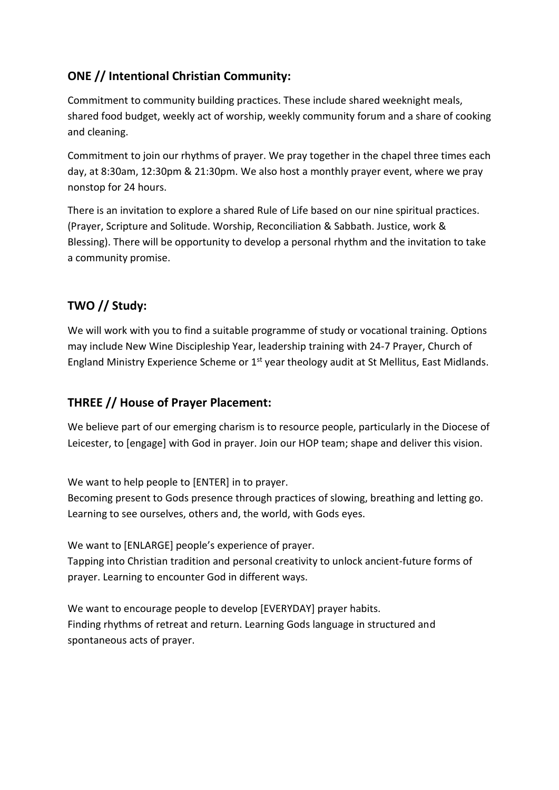## **ONE // Intentional Christian Community:**

Commitment to community building practices. These include shared weeknight meals, shared food budget, weekly act of worship, weekly community forum and a share of cooking and cleaning.

Commitment to join our rhythms of prayer. We pray together in the chapel three times each day, at 8:30am, 12:30pm & 21:30pm. We also host a monthly prayer event, where we pray nonstop for 24 hours.

There is an invitation to explore a shared Rule of Life based on our nine spiritual practices. (Prayer, Scripture and Solitude. Worship, Reconciliation & Sabbath. Justice, work & Blessing). There will be opportunity to develop a personal rhythm and the invitation to take a community promise.

# **TWO // Study:**

We will work with you to find a suitable programme of study or vocational training. Options may include New Wine Discipleship Year, leadership training with 24-7 Prayer, Church of England Ministry Experience Scheme or  $1<sup>st</sup>$  year theology audit at St Mellitus, East Midlands.

# **THREE // House of Prayer Placement:**

We believe part of our emerging charism is to resource people, particularly in the Diocese of Leicester, to [engage] with God in prayer. Join our HOP team; shape and deliver this vision.

We want to help people to [ENTER] in to prayer.

Becoming present to Gods presence through practices of slowing, breathing and letting go. Learning to see ourselves, others and, the world, with Gods eyes.

We want to [ENLARGE] people's experience of prayer. Tapping into Christian tradition and personal creativity to unlock ancient-future forms of prayer. Learning to encounter God in different ways.

We want to encourage people to develop [EVERYDAY] prayer habits. Finding rhythms of retreat and return. Learning Gods language in structured and spontaneous acts of prayer.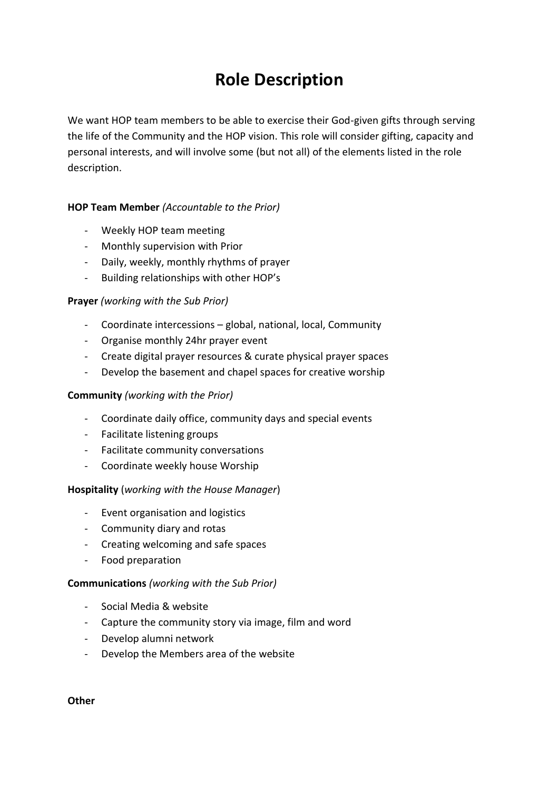# **Role Description**

We want HOP team members to be able to exercise their God-given gifts through serving the life of the Community and the HOP vision. This role will consider gifting, capacity and personal interests, and will involve some (but not all) of the elements listed in the role description.

## **HOP Team Member** *(Accountable to the Prior)*

- Weekly HOP team meeting
- Monthly supervision with Prior
- Daily, weekly, monthly rhythms of prayer
- Building relationships with other HOP's

## **Prayer** *(working with the Sub Prior)*

- Coordinate intercessions global, national, local, Community
- Organise monthly 24hr prayer event
- Create digital prayer resources & curate physical prayer spaces
- Develop the basement and chapel spaces for creative worship

### **Community** *(working with the Prior)*

- Coordinate daily office, community days and special events
- Facilitate listening groups
- Facilitate community conversations
- Coordinate weekly house Worship

#### **Hospitality** (*working with the House Manager*)

- Event organisation and logistics
- Community diary and rotas
- Creating welcoming and safe spaces
- Food preparation

#### **Communications** *(working with the Sub Prior)*

- Social Media & website
- Capture the community story via image, film and word
- Develop alumni network
- Develop the Members area of the website

**Other**